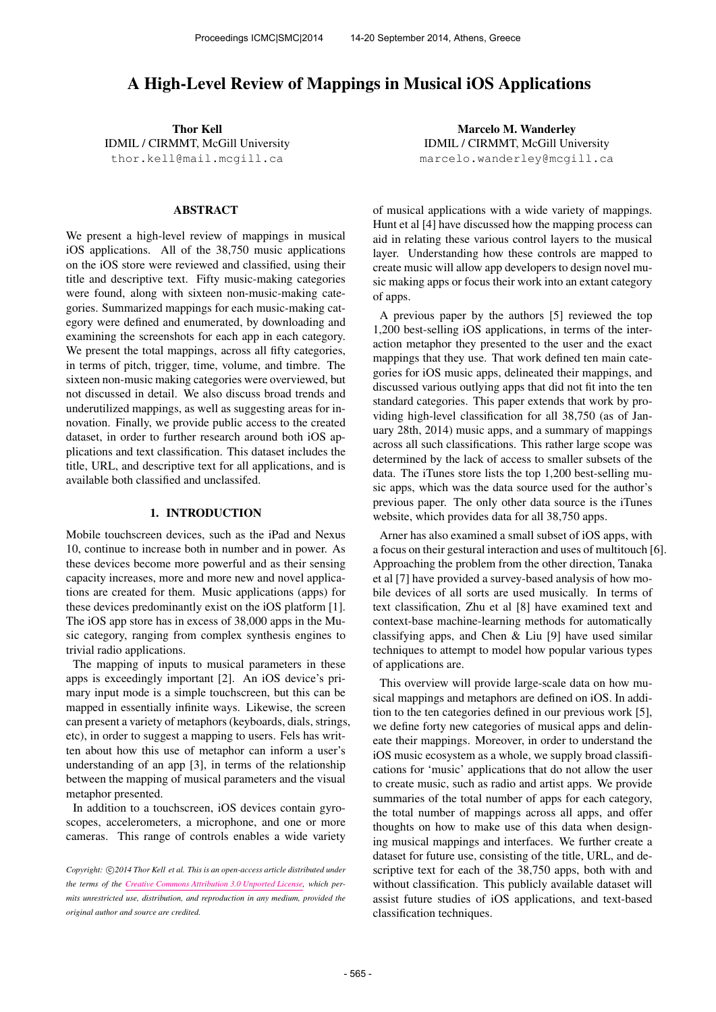# A High-Level Review of Mappings in Musical iOS Applications

Thor Kell IDMIL / CIRMMT, McGill University [thor.kell@mail.mcgill.ca](mailto:thor.kell@mail.mcgill.ca)

#### ABSTRACT

We present a high-level review of mappings in musical iOS applications. All of the 38,750 music applications on the iOS store were reviewed and classified, using their title and descriptive text. Fifty music-making categories were found, along with sixteen non-music-making categories. Summarized mappings for each music-making category were defined and enumerated, by downloading and examining the screenshots for each app in each category. We present the total mappings, across all fifty categories, in terms of pitch, trigger, time, volume, and timbre. The sixteen non-music making categories were overviewed, but not discussed in detail. We also discuss broad trends and underutilized mappings, as well as suggesting areas for innovation. Finally, we provide public access to the created dataset, in order to further research around both iOS applications and text classification. This dataset includes the title, URL, and descriptive text for all applications, and is available both classified and unclassifed.

#### 1. INTRODUCTION

Mobile touchscreen devices, such as the iPad and Nexus 10, continue to increase both in number and in power. As these devices become more powerful and as their sensing capacity increases, more and more new and novel applications are created for them. Music applications (apps) for these devices predominantly exist on the iOS platform [1]. The iOS app store has in excess of 38,000 apps in the Music category, ranging from complex synthesis engines to trivial radio applications.

The mapping of inputs to musical parameters in these apps is exceedingly important [2]. An iOS device's primary input mode is a simple touchscreen, but this can be mapped in essentially infinite ways. Likewise, the screen can present a variety of metaphors (keyboards, dials, strings, etc), in order to suggest a mapping to users. Fels has written about how this use of metaphor can inform a user's understanding of an app [3], in terms of the relationship between the mapping of musical parameters and the visual metaphor presented.

In addition to a touchscreen, iOS devices contain gyroscopes, accelerometers, a microphone, and one or more cameras. This range of controls enables a wide variety

Marcelo M. Wanderley IDMIL / CIRMMT, McGill University [marcelo.wanderley@mcgill.ca](mailto:marcelo.wanderley@mcgill.ca)

of musical applications with a wide variety of mappings. Hunt et al [4] have discussed how the mapping process can aid in relating these various control layers to the musical layer. Understanding how these controls are mapped to create music will allow app developers to design novel music making apps or focus their work into an extant category of apps.

A previous paper by the authors [5] reviewed the top 1,200 best-selling iOS applications, in terms of the interaction metaphor they presented to the user and the exact mappings that they use. That work defined ten main categories for iOS music apps, delineated their mappings, and discussed various outlying apps that did not fit into the ten standard categories. This paper extends that work by providing high-level classification for all 38,750 (as of January 28th, 2014) music apps, and a summary of mappings across all such classifications. This rather large scope was determined by the lack of access to smaller subsets of the data. The iTunes store lists the top 1,200 best-selling music apps, which was the data source used for the author's previous paper. The only other data source is the iTunes website, which provides data for all 38,750 apps.

Arner has also examined a small subset of iOS apps, with a focus on their gestural interaction and uses of multitouch [6]. Approaching the problem from the other direction, Tanaka et al [7] have provided a survey-based analysis of how mobile devices of all sorts are used musically. In terms of text classification, Zhu et al [8] have examined text and context-base machine-learning methods for automatically classifying apps, and Chen & Liu [9] have used similar techniques to attempt to model how popular various types of applications are.

This overview will provide large-scale data on how musical mappings and metaphors are defined on iOS. In addition to the ten categories defined in our previous work [5], we define forty new categories of musical apps and delineate their mappings. Moreover, in order to understand the iOS music ecosystem as a whole, we supply broad classifications for 'music' applications that do not allow the user to create music, such as radio and artist apps. We provide summaries of the total number of apps for each category, the total number of mappings across all apps, and offer thoughts on how to make use of this data when designing musical mappings and interfaces. We further create a dataset for future use, consisting of the title, URL, and descriptive text for each of the 38,750 apps, both with and without classification. This publicly available dataset will assist future studies of iOS applications, and text-based classification techniques.

Copyright:  $\bigcirc$  2014 Thor Kell et al. This is an open-access article distributed under *the terms of the [Creative Commons Attribution 3.0 Unported License,](http://creativecommons.org/licenses/by/3.0/) which permits unrestricted use, distribution, and reproduction in any medium, provided the original author and source are credited.*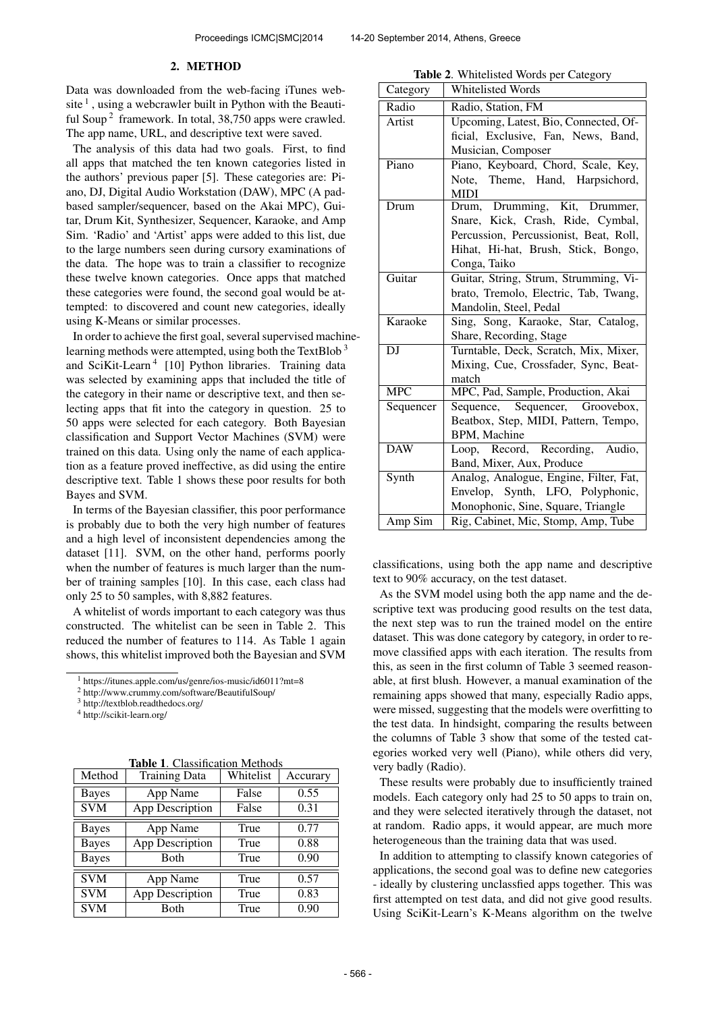#### 2. METHOD

Data was downloaded from the web-facing iTunes website  $\frac{1}{1}$ , using a webcrawler built in Python with the Beautiful Soup<sup>2</sup> framework. In total, 38,750 apps were crawled. The app name, URL, and descriptive text were saved.

The analysis of this data had two goals. First, to find all apps that matched the ten known categories listed in the authors' previous paper [5]. These categories are: Piano, DJ, Digital Audio Workstation (DAW), MPC (A padbased sampler/sequencer, based on the Akai MPC), Guitar, Drum Kit, Synthesizer, Sequencer, Karaoke, and Amp Sim. 'Radio' and 'Artist' apps were added to this list, due to the large numbers seen during cursory examinations of the data. The hope was to train a classifier to recognize these twelve known categories. Once apps that matched these categories were found, the second goal would be attempted: to discovered and count new categories, ideally using K-Means or similar processes.

In order to achieve the first goal, several supervised machinelearning methods were attempted, using both the TextBlob<sup>3</sup> and SciKit-Learn<sup>4</sup> [10] Python libraries. Training data was selected by examining apps that included the title of the category in their name or descriptive text, and then selecting apps that fit into the category in question. 25 to 50 apps were selected for each category. Both Bayesian classification and Support Vector Machines (SVM) were trained on this data. Using only the name of each application as a feature proved ineffective, as did using the entire descriptive text. Table 1 shows these poor results for both Bayes and SVM.

In terms of the Bayesian classifier, this poor performance is probably due to both the very high number of features and a high level of inconsistent dependencies among the dataset [11]. SVM, on the other hand, performs poorly when the number of features is much larger than the number of training samples [10]. In this case, each class had only 25 to 50 samples, with 8,882 features.

A whitelist of words important to each category was thus constructed. The whitelist can be seen in Table 2. This reduced the number of features to 114. As Table 1 again shows, this whitelist improved both the Bayesian and SVM

<sup>2</sup> http://www.crummy.com/software/BeautifulSoup/

<sup>3</sup> http://textblob.readthedocs.org/

<sup>4</sup> http://scikit-learn.org/

Table 1. Classification Methods

| Method                  | <b>Training Data</b> | Whitelist | Accurary |
|-------------------------|----------------------|-----------|----------|
| <b>Bayes</b>            | App Name             | False     | 0.55     |
| $\overline{\text{SVM}}$ | App Description      | False     | 0.31     |
| <b>Bayes</b>            | App Name             | True      | 0.77     |
| <b>Bayes</b>            | App Description      | True      | 0.88     |
| <b>Bayes</b>            | Both                 | True      | 0.90     |
| <b>SVM</b>              | App Name             | True      | 0.57     |
| $\overline{\text{SVM}}$ | App Description      | True      | 0.83     |
| <b>SVM</b>              | Both                 | True      | 0.90     |

Table 2. Whitelisted Words per Category

| Category   | Whitelisted Words                      |  |  |  |
|------------|----------------------------------------|--|--|--|
| Radio      | Radio, Station, FM                     |  |  |  |
| Artist     | Upcoming, Latest, Bio, Connected, Of-  |  |  |  |
|            | ficial, Exclusive, Fan, News, Band,    |  |  |  |
|            | Musician, Composer                     |  |  |  |
| Piano      | Piano, Keyboard, Chord, Scale, Key,    |  |  |  |
|            | Note, Theme, Hand, Harpsichord,        |  |  |  |
|            | <b>MIDI</b>                            |  |  |  |
| Drum       | Drum, Drumming, Kit, Drummer,          |  |  |  |
|            | Snare, Kick, Crash, Ride, Cymbal,      |  |  |  |
|            | Percussion, Percussionist, Beat, Roll, |  |  |  |
|            | Hihat, Hi-hat, Brush, Stick, Bongo,    |  |  |  |
|            | Conga, Taiko                           |  |  |  |
| Guitar     | Guitar, String, Strum, Strumming, Vi-  |  |  |  |
|            | brato, Tremolo, Electric, Tab, Twang,  |  |  |  |
|            | Mandolin, Steel, Pedal                 |  |  |  |
| Karaoke    | Sing, Song, Karaoke, Star, Catalog,    |  |  |  |
|            | Share, Recording, Stage                |  |  |  |
| DJ         | Turntable, Deck, Scratch, Mix, Mixer,  |  |  |  |
|            | Mixing, Cue, Crossfader, Sync, Beat-   |  |  |  |
|            | match                                  |  |  |  |
| <b>MPC</b> | MPC, Pad, Sample, Production, Akai     |  |  |  |
| Sequencer  | Sequence, Sequencer, Groovebox,        |  |  |  |
|            | Beatbox, Step, MIDI, Pattern, Tempo,   |  |  |  |
|            | BPM, Machine                           |  |  |  |
| <b>DAW</b> | Loop, Record, Recording, Audio,        |  |  |  |
|            | Band, Mixer, Aux, Produce              |  |  |  |
| Synth      | Analog, Analogue, Engine, Filter, Fat, |  |  |  |
|            | Envelop, Synth, LFO, Polyphonic,       |  |  |  |
|            | Monophonic, Sine, Square, Triangle     |  |  |  |
| Amp Sim    | Rig, Cabinet, Mic, Stomp, Amp, Tube    |  |  |  |

classifications, using both the app name and descriptive text to 90% accuracy, on the test dataset.

As the SVM model using both the app name and the descriptive text was producing good results on the test data, the next step was to run the trained model on the entire dataset. This was done category by category, in order to remove classified apps with each iteration. The results from this, as seen in the first column of Table 3 seemed reasonable, at first blush. However, a manual examination of the remaining apps showed that many, especially Radio apps, were missed, suggesting that the models were overfitting to the test data. In hindsight, comparing the results between the columns of Table 3 show that some of the tested categories worked very well (Piano), while others did very, very badly (Radio).

These results were probably due to insufficiently trained models. Each category only had 25 to 50 apps to train on, and they were selected iteratively through the dataset, not at random. Radio apps, it would appear, are much more heterogeneous than the training data that was used.

In addition to attempting to classify known categories of applications, the second goal was to define new categories - ideally by clustering unclassfied apps together. This was first attempted on test data, and did not give good results. Using SciKit-Learn's K-Means algorithm on the twelve

<sup>1</sup> https://itunes.apple.com/us/genre/ios-music/id6011?mt=8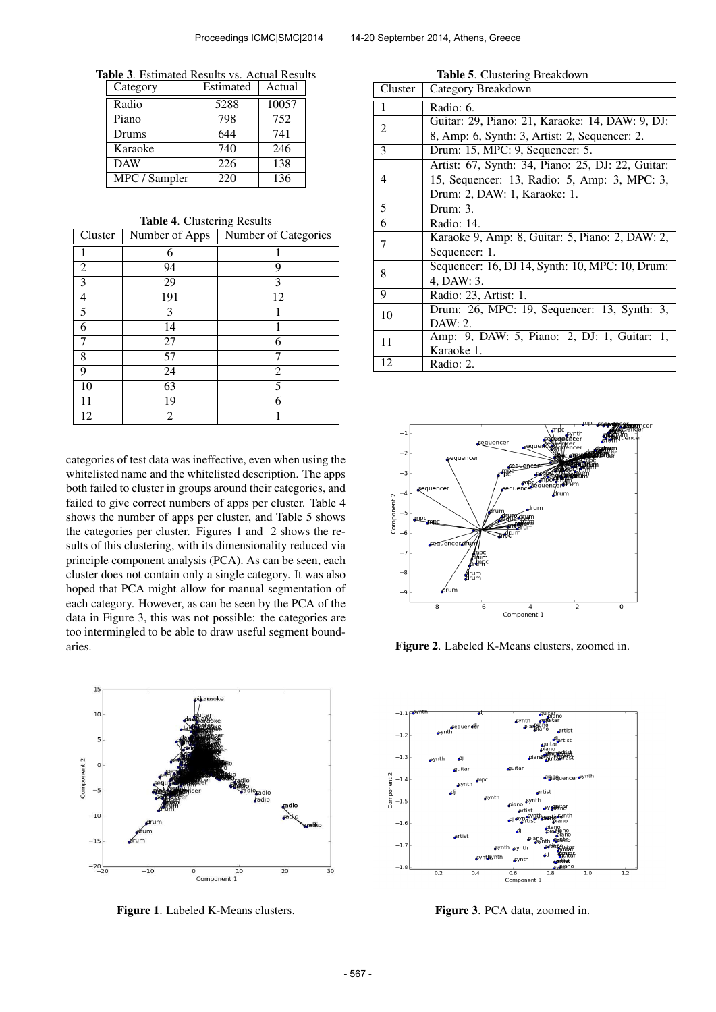Table 3. Estimated Results vs. Actual Results

| Category      | Estimated | Actual |
|---------------|-----------|--------|
| Radio         | 5288      | 10057  |
| Piano         | 798       | 752    |
| Drums         | 644       | 741    |
| Karaoke       | 740       | 246    |
| <b>DAW</b>    | 226       | 138    |
| MPC / Sampler | 220       | 136    |

Table 4. Clustering Results

| Cluster | Number of Apps | Number of Categories |  |
|---------|----------------|----------------------|--|
|         | 6              |                      |  |
| 2       | 94             | 9                    |  |
| 3       | 29             | 3                    |  |
| 4       | 191            | 12                   |  |
| 5       | 3              |                      |  |
| 6       | 14             |                      |  |
| 7       | 27             | 6                    |  |
| 8       | 57             |                      |  |
| 9       | 24             | $\overline{2}$       |  |
| 10      | 63             | 5                    |  |
| 11      | 19             | 6                    |  |
| 12      | 2              |                      |  |

categories of test data was ineffective, even when using the whitelisted name and the whitelisted description. The apps both failed to cluster in groups around their categories, and failed to give correct numbers of apps per cluster. Table 4 shows the number of apps per cluster, and Table 5 shows the categories per cluster. Figures 1 and 2 shows the results of this clustering, with its dimensionality reduced via principle component analysis (PCA). As can be seen, each cluster does not contain only a single category. It was also hoped that PCA might allow for manual segmentation of each category. However, as can be seen by the PCA of the data in Figure 3, this was not possible: the categories are too intermingled to be able to draw useful segment boundaries.



Figure 1. Labeled K-Means clusters.

|  |  | Table 5. Clustering Breakdown |
|--|--|-------------------------------|
|--|--|-------------------------------|

| Cluster | Category Breakdown                                |  |
|---------|---------------------------------------------------|--|
| 1       | Radio: 6.                                         |  |
| 2       | Guitar: 29, Piano: 21, Karaoke: 14, DAW: 9, DJ:   |  |
|         | 8, Amp: 6, Synth: 3, Artist: 2, Sequencer: 2.     |  |
| 3       | Drum: 15, MPC: 9, Sequencer: 5.                   |  |
|         | Artist: 67, Synth: 34, Piano: 25, DJ: 22, Guitar: |  |
| 4       | 15, Sequencer: 13, Radio: 5, Amp: 3, MPC: 3,      |  |
|         | Drum: 2, DAW: 1, Karaoke: 1.                      |  |
| 5       | Drum: $3.$                                        |  |
| 6       | Radio: 14.                                        |  |
| 7       | Karaoke 9, Amp: 8, Guitar: 5, Piano: 2, DAW: 2,   |  |
|         | Sequencer: 1.                                     |  |
| 8       | Sequencer: 16, DJ 14, Synth: 10, MPC: 10, Drum:   |  |
|         | 4, DAW: 3.                                        |  |
| 9       | Radio: 23, Artist: 1.                             |  |
| 10      | Drum: 26, MPC: 19, Sequencer: 13, Synth: 3,       |  |
|         | DAW: 2.                                           |  |
| 11      | Amp: 9, DAW: 5, Piano: 2, DJ: 1, Guitar: 1,       |  |
|         | Karaoke 1.                                        |  |
| 12      | Radio: 2.                                         |  |



Figure 2. Labeled K-Means clusters, zoomed in.



Figure 3. PCA data, zoomed in.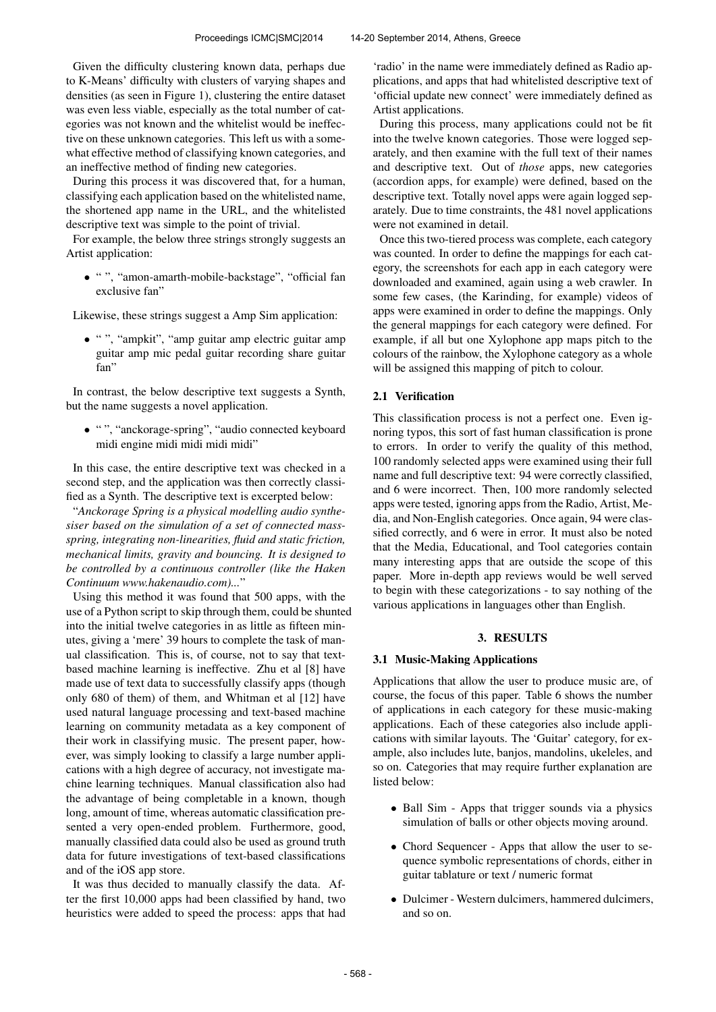Given the difficulty clustering known data, perhaps due to K-Means' difficulty with clusters of varying shapes and densities (as seen in Figure 1), clustering the entire dataset was even less viable, especially as the total number of categories was not known and the whitelist would be ineffective on these unknown categories. This left us with a somewhat effective method of classifying known categories, and an ineffective method of finding new categories.

During this process it was discovered that, for a human, classifying each application based on the whitelisted name, the shortened app name in the URL, and the whitelisted descriptive text was simple to the point of trivial.

For example, the below three strings strongly suggests an Artist application:

• " ", "amon-amarth-mobile-backstage", "official fan exclusive fan"

Likewise, these strings suggest a Amp Sim application:

• " ", "ampkit", "amp guitar amp electric guitar amp guitar amp mic pedal guitar recording share guitar fan"

In contrast, the below descriptive text suggests a Synth, but the name suggests a novel application.

• " ", "anckorage-spring", "audio connected keyboard midi engine midi midi midi midi"

In this case, the entire descriptive text was checked in a second step, and the application was then correctly classified as a Synth. The descriptive text is excerpted below:

"*Anckorage Spring is a physical modelling audio synthesiser based on the simulation of a set of connected massspring, integrating non-linearities, fluid and static friction, mechanical limits, gravity and bouncing. It is designed to be controlled by a continuous controller (like the Haken Continuum www.hakenaudio.com)...*"

Using this method it was found that 500 apps, with the use of a Python script to skip through them, could be shunted into the initial twelve categories in as little as fifteen minutes, giving a 'mere' 39 hours to complete the task of manual classification. This is, of course, not to say that textbased machine learning is ineffective. Zhu et al [8] have made use of text data to successfully classify apps (though only 680 of them) of them, and Whitman et al [12] have used natural language processing and text-based machine learning on community metadata as a key component of their work in classifying music. The present paper, however, was simply looking to classify a large number applications with a high degree of accuracy, not investigate machine learning techniques. Manual classification also had the advantage of being completable in a known, though long, amount of time, whereas automatic classification presented a very open-ended problem. Furthermore, good, manually classified data could also be used as ground truth data for future investigations of text-based classifications and of the iOS app store.

It was thus decided to manually classify the data. After the first 10,000 apps had been classified by hand, two heuristics were added to speed the process: apps that had 'radio' in the name were immediately defined as Radio applications, and apps that had whitelisted descriptive text of 'official update new connect' were immediately defined as Artist applications.

During this process, many applications could not be fit into the twelve known categories. Those were logged separately, and then examine with the full text of their names and descriptive text. Out of *those* apps, new categories (accordion apps, for example) were defined, based on the descriptive text. Totally novel apps were again logged separately. Due to time constraints, the 481 novel applications were not examined in detail.

Once this two-tiered process was complete, each category was counted. In order to define the mappings for each category, the screenshots for each app in each category were downloaded and examined, again using a web crawler. In some few cases, (the Karinding, for example) videos of apps were examined in order to define the mappings. Only the general mappings for each category were defined. For example, if all but one Xylophone app maps pitch to the colours of the rainbow, the Xylophone category as a whole will be assigned this mapping of pitch to colour.

## 2.1 Verification

This classification process is not a perfect one. Even ignoring typos, this sort of fast human classification is prone to errors. In order to verify the quality of this method, 100 randomly selected apps were examined using their full name and full descriptive text: 94 were correctly classified, and 6 were incorrect. Then, 100 more randomly selected apps were tested, ignoring apps from the Radio, Artist, Media, and Non-English categories. Once again, 94 were classified correctly, and 6 were in error. It must also be noted that the Media, Educational, and Tool categories contain many interesting apps that are outside the scope of this paper. More in-depth app reviews would be well served to begin with these categorizations - to say nothing of the various applications in languages other than English.

## 3. RESULTS

## 3.1 Music-Making Applications

Applications that allow the user to produce music are, of course, the focus of this paper. Table 6 shows the number of applications in each category for these music-making applications. Each of these categories also include applications with similar layouts. The 'Guitar' category, for example, also includes lute, banjos, mandolins, ukeleles, and so on. Categories that may require further explanation are listed below:

- Ball Sim Apps that trigger sounds via a physics simulation of balls or other objects moving around.
- Chord Sequencer Apps that allow the user to sequence symbolic representations of chords, either in guitar tablature or text / numeric format
- Dulcimer Western dulcimers, hammered dulcimers, and so on.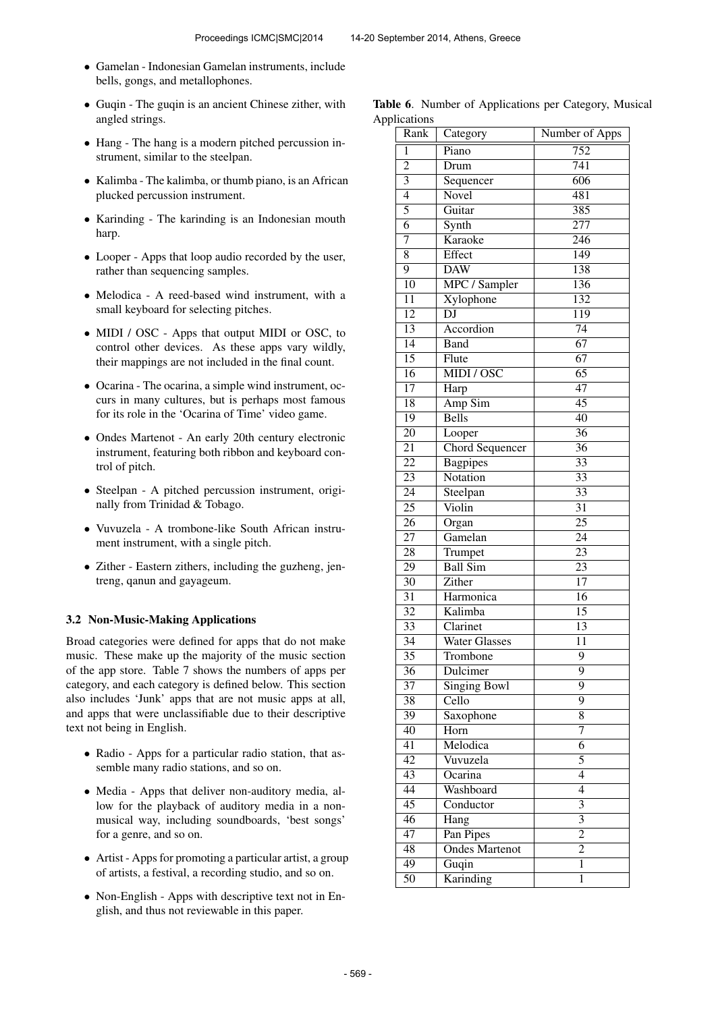- Gamelan Indonesian Gamelan instruments, include bells, gongs, and metallophones.
- Guqin The guqin is an ancient Chinese zither, with angled strings.
- Hang The hang is a modern pitched percussion instrument, similar to the steelpan.
- Kalimba The kalimba, or thumb piano, is an African plucked percussion instrument.
- Karinding The karinding is an Indonesian mouth harp.
- Looper Apps that loop audio recorded by the user, rather than sequencing samples.
- Melodica A reed-based wind instrument, with a small keyboard for selecting pitches.
- MIDI / OSC Apps that output MIDI or OSC, to control other devices. As these apps vary wildly, their mappings are not included in the final count.
- Ocarina The ocarina, a simple wind instrument, occurs in many cultures, but is perhaps most famous for its role in the 'Ocarina of Time' video game.
- Ondes Martenot An early 20th century electronic instrument, featuring both ribbon and keyboard control of pitch.
- Steelpan A pitched percussion instrument, originally from Trinidad & Tobago.
- Vuvuzela A trombone-like South African instrument instrument, with a single pitch.
- Zither Eastern zithers, including the guzheng, jentreng, qanun and gayageum.

#### 3.2 Non-Music-Making Applications

Broad categories were defined for apps that do not make music. These make up the majority of the music section of the app store. Table 7 shows the numbers of apps per category, and each category is defined below. This section also includes 'Junk' apps that are not music apps at all, and apps that were unclassifiable due to their descriptive text not being in English.

- Radio Apps for a particular radio station, that assemble many radio stations, and so on.
- Media Apps that deliver non-auditory media, allow for the playback of auditory media in a nonmusical way, including soundboards, 'best songs' for a genre, and so on.
- Artist Apps for promoting a particular artist, a group of artists, a festival, a recording studio, and so on.
- Non-English Apps with descriptive text not in English, and thus not reviewable in this paper.

Table 6. Number of Applications per Category, Musical Applications

| Rank            | Category                  | Number of Apps            |
|-----------------|---------------------------|---------------------------|
| 1               | $\overline{\text{Piano}}$ | $\overline{752}$          |
| $\overline{2}$  | Drum                      | 741                       |
| $\overline{3}$  | Sequencer                 | 606                       |
| $\overline{4}$  | Novel                     | 481                       |
| $\overline{5}$  | Guitar                    | 385                       |
| $\overline{6}$  | Synth                     | $\overline{277}$          |
| $\overline{7}$  | Karaoke                   | 246                       |
| $\overline{8}$  | Effect                    | 149                       |
| $\overline{9}$  | <b>DAW</b>                | 138                       |
| $\overline{10}$ | MPC / Sampler             | 136                       |
| $\overline{11}$ | Xylophone                 | 132                       |
| $\overline{12}$ | $\overline{\mathrm{DJ}}$  | 119                       |
| $\overline{13}$ | Accordion                 | $\overline{74}$           |
| $\overline{14}$ | <b>Band</b>               | 67                        |
| 15              | Flute                     | $\overline{67}$           |
| $\overline{16}$ | MIDI / OSC                | 65                        |
| 17              | Harp                      | 47                        |
| 18              | Amp Sim                   | $\overline{45}$           |
| $\overline{19}$ | <b>Bells</b>              | $\overline{40}$           |
| $\overline{20}$ | Looper                    | $\overline{36}$           |
| $\overline{21}$ | <b>Chord Sequencer</b>    | $\overline{36}$           |
| $\overline{22}$ | <b>Bagpipes</b>           | 33                        |
| 23              | Notation                  | $\overline{33}$           |
| $\overline{24}$ | Steelpan                  | $\overline{33}$           |
| $\overline{25}$ | Violin                    | $\overline{31}$           |
| $\overline{26}$ | Organ                     | $\overline{25}$           |
| $\overline{27}$ | Gamelan                   | $\overline{24}$           |
| $\overline{28}$ | Trumpet                   | $\overline{23}$           |
| 29              | <b>Ball Sim</b>           | $\overline{23}$           |
| $\overline{30}$ | Zither                    | $\overline{17}$           |
| $\overline{31}$ | Harmonica                 | 16                        |
| $\overline{32}$ | Kalimba                   | $\overline{15}$           |
| $\overline{33}$ | Clarinet                  | 13                        |
| $\overline{34}$ | <b>Water Glasses</b>      | 11                        |
| $\overline{35}$ | Trombone                  | $\overline{9}$            |
| 36              | Dulcimer                  | 9                         |
| $\overline{37}$ | <b>Singing Bowl</b>       | $\overline{9}$            |
| 38              | Cello                     | $\overline{9}$            |
| 39              | Saxophone                 | 8                         |
| 40              | Horn                      | 7                         |
| 41              | Melodica                  | $\overline{6}$            |
| 42              | Vuvuzela                  | 5                         |
| 43              | Ocarina                   | 4                         |
| $\overline{44}$ | Washboard                 | $\overline{4}$            |
| $\overline{45}$ | Conductor                 | 3                         |
| $\overline{46}$ | Hang                      | $\overline{\overline{3}}$ |
| $\overline{47}$ | Pan Pipes                 | $\overline{2}$            |
| 48              | <b>Ondes Martenot</b>     | $\overline{2}$            |
| 49              | Guqin                     | $\mathbf{1}$              |
| $\overline{50}$ | Karinding                 | $\overline{1}$            |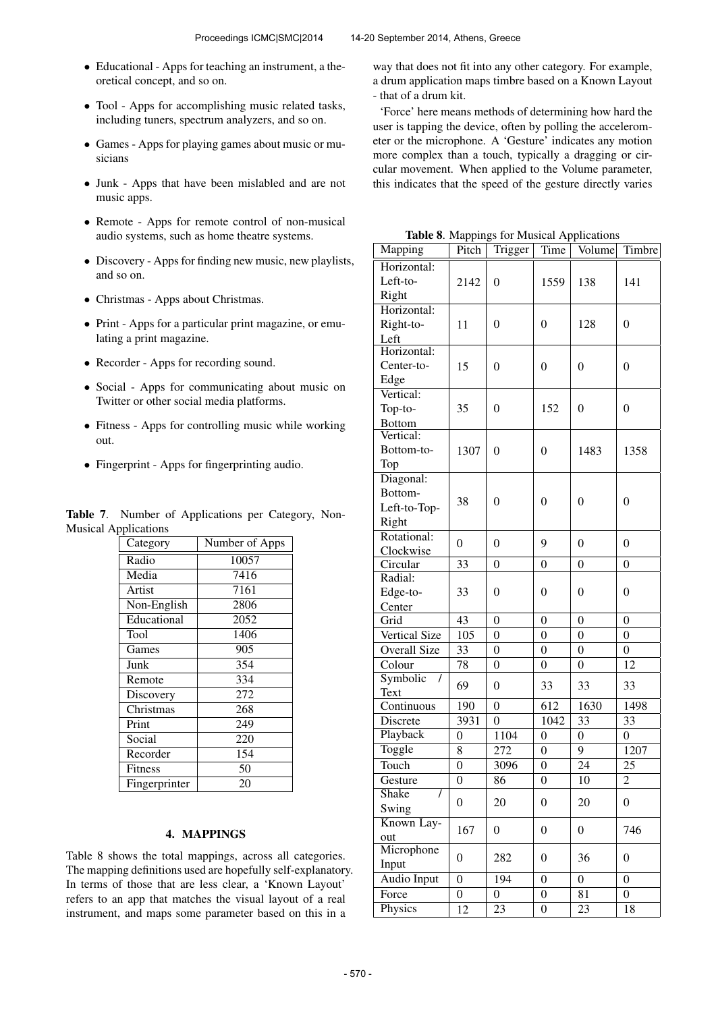- Educational Apps for teaching an instrument, a theoretical concept, and so on.
- Tool Apps for accomplishing music related tasks, including tuners, spectrum analyzers, and so on.
- Games Apps for playing games about music or musicians
- Junk Apps that have been mislabled and are not music apps.
- Remote Apps for remote control of non-musical audio systems, such as home theatre systems.
- Discovery Apps for finding new music, new playlists, and so on.
- Christmas Apps about Christmas.
- Print Apps for a particular print magazine, or emulating a print magazine.
- Recorder Apps for recording sound.
- Social Apps for communicating about music on Twitter or other social media platforms.
- Fitness Apps for controlling music while working out.
- Fingerprint Apps for fingerprinting audio.

Table 7. Number of Applications per Category, Non-Musical Applications

| Category      | Number of Apps    |
|---------------|-------------------|
| Radio         | 10057             |
| Media         | 7416              |
| Artist        | 7161              |
| Non-English   | 2806              |
| Educational   | $\overline{20}52$ |
| Tool          | 1406              |
| Games         | 905               |
| Junk          | 354               |
| Remote        | 334               |
| Discovery     | 272               |
| Christmas     | 268               |
| Print         | 249               |
| Social        | 220               |
| Recorder      | 154               |
| Fitness       | 50                |
| Fingerprinter | 20                |

## 4. MAPPINGS

Table 8 shows the total mappings, across all categories. The mapping definitions used are hopefully self-explanatory. In terms of those that are less clear, a 'Known Layout' refers to an app that matches the visual layout of a real instrument, and maps some parameter based on this in a

way that does not fit into any other category. For example, a drum application maps timbre based on a Known Layout - that of a drum kit.

'Force' here means methods of determining how hard the user is tapping the device, often by polling the accelerometer or the microphone. A 'Gesture' indicates any motion more complex than a touch, typically a dragging or circular movement. When applied to the Volume parameter, this indicates that the speed of the gesture directly varies

Table 8. Mappings for Musical Applications

| Mapping                    | -- 17<br>Pitch        | Trigger                            | Time                               | Volume           | Timbre           |
|----------------------------|-----------------------|------------------------------------|------------------------------------|------------------|------------------|
| Horizontal:                |                       |                                    |                                    |                  |                  |
| Left-to-                   | 2142                  | $\boldsymbol{0}$                   | 1559                               | 138              | 141              |
| Right                      |                       |                                    |                                    |                  |                  |
| Horizontal:                |                       |                                    |                                    |                  |                  |
| Right-to-                  | 11                    | $\boldsymbol{0}$                   | $\overline{0}$                     | 128              | $\theta$         |
| Left                       |                       |                                    |                                    |                  |                  |
| Horizontal:                |                       |                                    |                                    |                  |                  |
| Center-to-                 | 15                    | $\boldsymbol{0}$                   | $\mathbf{0}$                       | $\boldsymbol{0}$ | $\boldsymbol{0}$ |
| Edge                       |                       |                                    |                                    |                  |                  |
| Vertical:                  |                       |                                    |                                    |                  |                  |
| Top-to-                    | 35                    | $\overline{0}$                     | 152                                | $\overline{0}$   | $\overline{0}$   |
| <b>Bottom</b><br>Vertical: |                       |                                    |                                    |                  |                  |
| Bottom-to-                 | 1307                  | $\overline{0}$                     | $\overline{0}$                     | 1483             | 1358             |
| Top                        |                       |                                    |                                    |                  |                  |
| Diagonal:                  |                       |                                    |                                    |                  |                  |
| Bottom-                    |                       |                                    |                                    |                  |                  |
| Left-to-Top-               | 38                    | $\overline{0}$                     | $\overline{0}$                     | $\overline{0}$   | $\overline{0}$   |
| Right                      |                       |                                    |                                    |                  |                  |
| Rotational:                |                       |                                    |                                    |                  |                  |
| Clockwise                  | $\overline{0}$        | $\mathbf{0}$                       | 9                                  | $\overline{0}$   | $\overline{0}$   |
| Circular                   | 33                    | $\mathbf{0}$                       | $\overline{0}$                     | $\boldsymbol{0}$ | $\boldsymbol{0}$ |
| Radial:                    |                       |                                    |                                    |                  |                  |
| Edge-to-                   | 33                    | $\overline{0}$                     | 0                                  | $\overline{0}$   | $\overline{0}$   |
| Center                     |                       |                                    |                                    |                  |                  |
| Grid                       | 43                    | $\mathbf{0}$                       | $\mathbf{0}$                       | $\boldsymbol{0}$ | $\boldsymbol{0}$ |
| <b>Vertical Size</b>       | 105                   | $\mathbf{0}$                       | $\overline{0}$                     | $\boldsymbol{0}$ | $\boldsymbol{0}$ |
| <b>Overall Size</b>        | 33                    | $\mathbf{0}$                       | $\overline{0}$                     | $\boldsymbol{0}$ | $\boldsymbol{0}$ |
| Colour                     | 78                    | $\mathbf{0}$                       | $\overline{0}$                     | $\overline{0}$   | 12               |
| Symbolic<br>$\prime$       | 69                    | $\boldsymbol{0}$                   | 33                                 | 33               | 33               |
| Text                       |                       |                                    | 612                                | 1630             |                  |
| Continuous<br>Discrete     | 190<br>3931           | $\boldsymbol{0}$<br>$\overline{0}$ | 1042                               | 33               | 1498<br>33       |
| Playback                   | $\overline{0}$        |                                    | $\overline{0}$                     | $\overline{0}$   | $\overline{0}$   |
| Toggle                     |                       | 1104                               |                                    | 9                | 1207             |
| Touch                      | 8<br>$\boldsymbol{0}$ | 272                                | $\overline{0}$                     | 24               | 25               |
|                            | $\overline{0}$        | 3096                               | $\boldsymbol{0}$<br>$\overline{0}$ | $\overline{10}$  |                  |
| Gesture<br>Shake<br>I      |                       | 86                                 |                                    |                  | $\overline{c}$   |
| Swing                      | 0                     | 20                                 | $\boldsymbol{0}$                   | 20               | $\boldsymbol{0}$ |
| Known Lay-                 |                       |                                    |                                    |                  |                  |
| out                        | 167                   | $\boldsymbol{0}$                   | $\boldsymbol{0}$                   | $\boldsymbol{0}$ | 746              |
| Microphone                 |                       |                                    |                                    |                  |                  |
| Input                      | 0                     | 282                                | $\boldsymbol{0}$                   | 36               | 0                |
| <b>Audio Input</b>         | $\overline{0}$        | 194                                | $\boldsymbol{0}$                   | $\overline{0}$   | $\overline{0}$   |
| Force                      | $\overline{0}$        | 0                                  | $\boldsymbol{0}$                   | 81               | $\boldsymbol{0}$ |
| Physics                    | 12                    | 23                                 | $\boldsymbol{0}$                   | 23               | 18               |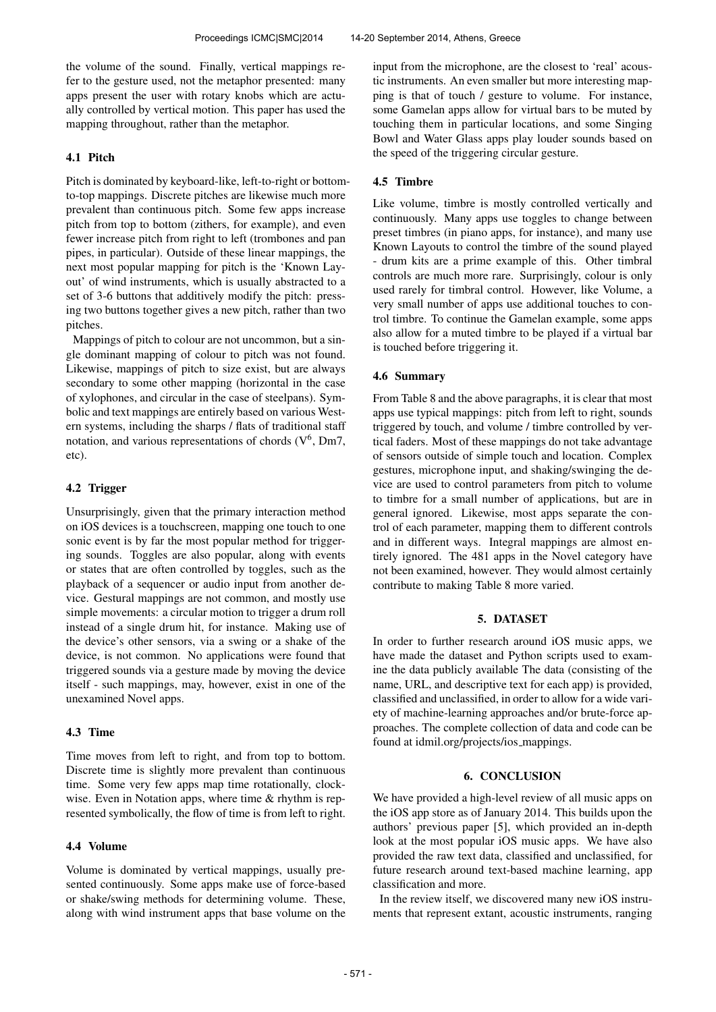the volume of the sound. Finally, vertical mappings refer to the gesture used, not the metaphor presented: many apps present the user with rotary knobs which are actually controlled by vertical motion. This paper has used the mapping throughout, rather than the metaphor.

# 4.1 Pitch

Pitch is dominated by keyboard-like, left-to-right or bottomto-top mappings. Discrete pitches are likewise much more prevalent than continuous pitch. Some few apps increase pitch from top to bottom (zithers, for example), and even fewer increase pitch from right to left (trombones and pan pipes, in particular). Outside of these linear mappings, the next most popular mapping for pitch is the 'Known Layout' of wind instruments, which is usually abstracted to a set of 3-6 buttons that additively modify the pitch: pressing two buttons together gives a new pitch, rather than two pitches.

Mappings of pitch to colour are not uncommon, but a single dominant mapping of colour to pitch was not found. Likewise, mappings of pitch to size exist, but are always secondary to some other mapping (horizontal in the case of xylophones, and circular in the case of steelpans). Symbolic and text mappings are entirely based on various Western systems, including the sharps / flats of traditional staff notation, and various representations of chords  $(V^6, Dm7)$ , etc).

#### 4.2 Trigger

Unsurprisingly, given that the primary interaction method on iOS devices is a touchscreen, mapping one touch to one sonic event is by far the most popular method for triggering sounds. Toggles are also popular, along with events or states that are often controlled by toggles, such as the playback of a sequencer or audio input from another device. Gestural mappings are not common, and mostly use simple movements: a circular motion to trigger a drum roll instead of a single drum hit, for instance. Making use of the device's other sensors, via a swing or a shake of the device, is not common. No applications were found that triggered sounds via a gesture made by moving the device itself - such mappings, may, however, exist in one of the unexamined Novel apps.

## 4.3 Time

Time moves from left to right, and from top to bottom. Discrete time is slightly more prevalent than continuous time. Some very few apps map time rotationally, clockwise. Even in Notation apps, where time  $\&$  rhythm is represented symbolically, the flow of time is from left to right.

# 4.4 Volume

Volume is dominated by vertical mappings, usually presented continuously. Some apps make use of force-based or shake/swing methods for determining volume. These, along with wind instrument apps that base volume on the input from the microphone, are the closest to 'real' acoustic instruments. An even smaller but more interesting mapping is that of touch / gesture to volume. For instance, some Gamelan apps allow for virtual bars to be muted by touching them in particular locations, and some Singing Bowl and Water Glass apps play louder sounds based on the speed of the triggering circular gesture.

## 4.5 Timbre

Like volume, timbre is mostly controlled vertically and continuously. Many apps use toggles to change between preset timbres (in piano apps, for instance), and many use Known Layouts to control the timbre of the sound played - drum kits are a prime example of this. Other timbral controls are much more rare. Surprisingly, colour is only used rarely for timbral control. However, like Volume, a very small number of apps use additional touches to control timbre. To continue the Gamelan example, some apps also allow for a muted timbre to be played if a virtual bar is touched before triggering it.

### 4.6 Summary

From Table 8 and the above paragraphs, it is clear that most apps use typical mappings: pitch from left to right, sounds triggered by touch, and volume / timbre controlled by vertical faders. Most of these mappings do not take advantage of sensors outside of simple touch and location. Complex gestures, microphone input, and shaking/swinging the device are used to control parameters from pitch to volume to timbre for a small number of applications, but are in general ignored. Likewise, most apps separate the control of each parameter, mapping them to different controls and in different ways. Integral mappings are almost entirely ignored. The 481 apps in the Novel category have not been examined, however. They would almost certainly contribute to making Table 8 more varied.

#### 5. DATASET

In order to further research around iOS music apps, we have made the dataset and Python scripts used to examine the data publicly available The data (consisting of the name, URL, and descriptive text for each app) is provided, classified and unclassified, in order to allow for a wide variety of machine-learning approaches and/or brute-force approaches. The complete collection of data and code can be found at idmil.org/projects/ios mappings.

# 6. CONCLUSION

We have provided a high-level review of all music apps on the iOS app store as of January 2014. This builds upon the authors' previous paper [5], which provided an in-depth look at the most popular iOS music apps. We have also provided the raw text data, classified and unclassified, for future research around text-based machine learning, app classification and more.

In the review itself, we discovered many new iOS instruments that represent extant, acoustic instruments, ranging